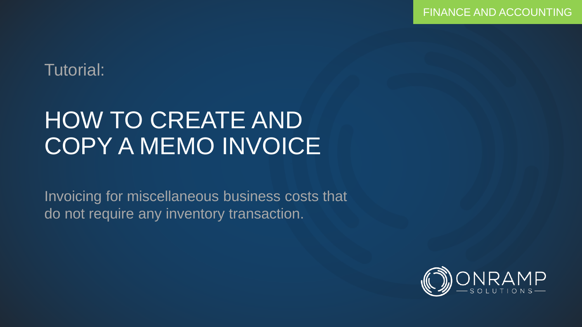### Tutorial:

# HOW TO CREATE AND COPY A MEMO INVOICE

Invoicing for miscellaneous business costs that do not require any inventory transaction.

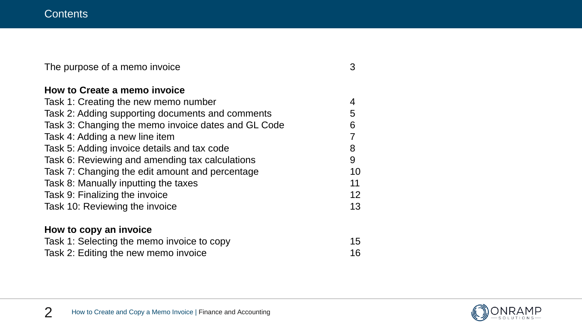| The purpose of a memo invoice                       | 3  |
|-----------------------------------------------------|----|
| How to Create a memo invoice                        |    |
| Task 1: Creating the new memo number                | 4  |
| Task 2: Adding supporting documents and comments    | 5  |
| Task 3: Changing the memo invoice dates and GL Code | 6  |
| Task 4: Adding a new line item                      |    |
| Task 5: Adding invoice details and tax code         | 8  |
| Task 6: Reviewing and amending tax calculations     | 9  |
| Task 7: Changing the edit amount and percentage     | 10 |
| Task 8: Manually inputting the taxes                | 11 |
| Task 9: Finalizing the invoice                      | 12 |
| Task 10: Reviewing the invoice                      | 13 |
| How to copy an invoice                              |    |
| Task 1: Selecting the memo invoice to copy          | 15 |
| Task 2: Editing the new memo invoice                | 16 |

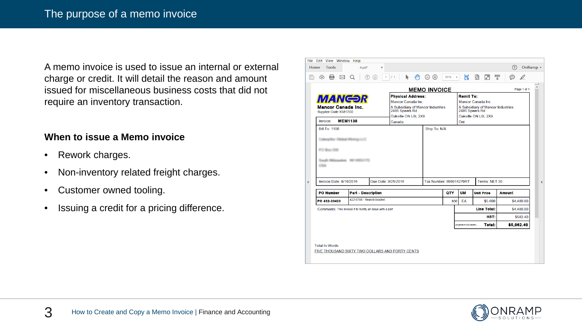A memo invoice is used to issue an internal or external charge or credit. It will detail the reason and amount issued for miscellaneous business costs that did not require an inventory transaction.

#### **When to issue a Memo invoice**

- Rework charges.
- Non-inventory related freight charges.
- Customer owned tooling.
- Issuing a credit for a pricing difference.

|              |          |                        | File Edit View Window Help                                |  |                           |   |                     |              |    |        |   |                          |   |         |                                   |                     |                          |                                                     |   |                   |      |            |             |                      |
|--------------|----------|------------------------|-----------------------------------------------------------|--|---------------------------|---|---------------------|--------------|----|--------|---|--------------------------|---|---------|-----------------------------------|---------------------|--------------------------|-----------------------------------------------------|---|-------------------|------|------------|-------------|----------------------|
| Home         |          | <b>Tools</b>           |                                                           |  | 4.pdf                     |   | $\times$            |              |    |        |   |                          |   |         |                                   |                     |                          |                                                     |   |                   |      | $\bigodot$ |             | OnRamp +             |
| P            | क़       | 带                      | ⊠                                                         |  | Œ.                        | U |                     | $\mathbf{1}$ | /1 |        | ▶ |                          | 仙 | $\odot$ | $\bigoplus$                       | 101%                | $\overline{\phantom{a}}$ | 冒                                                   | 圍 | ⊡                 | Ŧ    | ⊝          | D           |                      |
|              |          |                        |                                                           |  |                           |   |                     |              |    |        |   |                          |   |         |                                   | <b>MEMO INVOICE</b> |                          |                                                     |   |                   |      |            | Page 1 of 1 | A                    |
|              |          |                        |                                                           |  |                           |   |                     |              |    |        |   | <b>Physical Address:</b> |   |         |                                   |                     |                          | Remit To:                                           |   |                   |      |            |             |                      |
|              |          |                        | <i><b>MANGƏR</b></i>                                      |  |                           |   |                     |              |    |        |   | Mancor Canada Inc.       |   |         |                                   |                     |                          | Mancor Canada Inc.                                  |   |                   |      |            |             |                      |
|              |          |                        | <b>Mancor Canada Inc.</b><br>Supplier Code: X5817G0       |  |                           |   |                     |              |    |        |   | 2485 Speers Rd           |   |         | A Subsidiary of Mancor Industries |                     |                          | A Subsidiary of Mancor Industries<br>2485 Speers Rd |   |                   |      |            |             |                      |
|              |          |                        |                                                           |  |                           |   |                     |              |    |        |   | Oakville ON L6L 2X9      |   |         |                                   |                     |                          | Oakville ON L6L 2X9                                 |   |                   |      |            |             |                      |
|              | Invoice: |                        | <b>MEM1138</b>                                            |  |                           |   |                     |              |    | Canada |   |                          |   |         |                                   |                     |                          | Ont                                                 |   |                   |      |            |             |                      |
|              |          | <b>Bill To: 1100</b>   |                                                           |  |                           |   |                     |              |    |        |   |                          |   |         | Ship To: N/A                      |                     |                          |                                                     |   |                   |      |            |             |                      |
|              |          |                        | Clicked Mining LLC                                        |  |                           |   |                     |              |    |        |   |                          |   |         |                                   |                     |                          |                                                     |   |                   |      |            |             |                      |
|              |          |                        |                                                           |  |                           |   |                     |              |    |        |   |                          |   |         |                                   |                     |                          |                                                     |   |                   |      |            |             |                      |
|              |          | FO Box 100             |                                                           |  |                           |   |                     |              |    |        |   |                          |   |         |                                   |                     |                          |                                                     |   |                   |      |            |             |                      |
|              | UTLA     |                        |                                                           |  |                           |   |                     |              |    |        |   |                          |   |         |                                   |                     |                          |                                                     |   |                   |      |            |             |                      |
| $\mathbf{r}$ |          |                        | Invoice Date: 8/16/2016                                   |  |                           |   | Due Date: 9/25/2016 |              |    |        |   |                          |   |         |                                   |                     |                          | Tax Number: 898914270RT                             |   | Terms: NET 30     |      |            |             | $\blacktriangleleft$ |
|              |          | <b>PO Number</b>       |                                                           |  | <b>Part - Description</b> |   |                     |              |    |        |   |                          |   |         |                                   | QTY                 |                          | UM                                                  |   | <b>Unit Price</b> |      | Amount     |             |                      |
|              |          | PO 432-23423           |                                                           |  | 422-8780 - Rework bracket |   |                     |              |    |        |   |                          |   |         |                                   |                     | 800                      | EA                                                  |   | \$5,600           |      |            | \$4,480.00  |                      |
|              |          |                        | Comments: This invoice it to rectify an issue with a part |  |                           |   |                     |              |    |        |   |                          |   |         |                                   |                     |                          |                                                     |   | Line Total:       |      |            | \$4,480.00  |                      |
|              |          |                        |                                                           |  |                           |   |                     |              |    |        |   |                          |   |         |                                   |                     |                          |                                                     |   |                   | HST: |            | \$582.40    |                      |
|              |          |                        |                                                           |  |                           |   |                     |              |    |        |   |                          |   |         |                                   |                     |                          | (All prices in CAD dollars.)                        |   | Total:            |      |            | \$5,062.40  |                      |
|              |          |                        |                                                           |  |                           |   |                     |              |    |        |   |                          |   |         |                                   |                     |                          |                                                     |   |                   |      |            |             |                      |
|              |          |                        |                                                           |  |                           |   |                     |              |    |        |   |                          |   |         |                                   |                     |                          |                                                     |   |                   |      |            |             |                      |
|              |          | <b>Total In Words:</b> |                                                           |  |                           |   |                     |              |    |        |   |                          |   |         |                                   |                     |                          |                                                     |   |                   |      |            |             |                      |

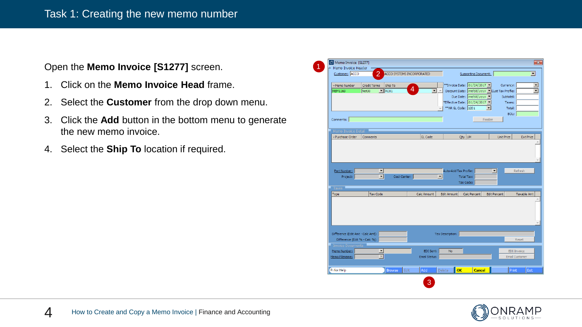Open the **Memo Invoice [S1277]** screen.

- 1. Click on the **Memo Invoice Head** frame.
- 2. Select the **Customer** from the drop down menu.
- 3. Click the **Add** button in the bottom menu to generate the new memo invoice.
- 4. Select the **Ship To** location if required.

| Customer: ACCO                                                     | $\overline{2}$                                   |                     | ACCO SYSTEMS INCORPORATED |                            |                       | Supporting Document:                                                                                 |                     |                               |                                      | ◥                        |
|--------------------------------------------------------------------|--------------------------------------------------|---------------------|---------------------------|----------------------------|-----------------------|------------------------------------------------------------------------------------------------------|---------------------|-------------------------------|--------------------------------------|--------------------------|
|                                                                    |                                                  |                     |                           |                            |                       |                                                                                                      |                     |                               |                                      |                          |
| -Memo Number                                                       | <b>Credit Terms</b>                              | Ship To             |                           |                            |                       | **Invoice Date: 01/24/2017                                                                           |                     | Currency:                     |                                      | $\overline{\phantom{a}}$ |
| MEM1169                                                            | Net30                                            | $\mathbf{I}$   AC01 | 4                         | $\blacktriangledown$       | ** AR GL Code: 1201   | Discount Date: mm/dd/yyyy   Cust Tax Profile:<br>Due Date: mm/dd/yyyy<br>*Effective Date: 01/24/2017 | $\vert \cdot \vert$ | Subtotal:<br>Taxes:<br>Total: |                                      | $\blacktriangledown$     |
| Comments:                                                          |                                                  |                     |                           |                            |                       |                                                                                                      | Finalize            | BOL:                          |                                      |                          |
| Memo Invoice Detail<br>- Purchase Order                            | Comments                                         |                     |                           | GL Code                    |                       | Qty UM                                                                                               |                     | <b>Unit Price</b>             | <b>Ext Price</b>                     |                          |
| Part Number:<br>Project:                                           | $\blacktriangledown$<br>$\overline{\phantom{a}}$ | Cost Center:        |                           | $\vert \cdot \vert$        | Auto-Add Tax Profile: | Total Tax:                                                                                           | ⊡                   |                               | Refresh                              |                          |
|                                                                    |                                                  |                     |                           |                            |                       | Tax Code:                                                                                            |                     |                               |                                      |                          |
| Taxes                                                              |                                                  |                     |                           |                            |                       |                                                                                                      |                     |                               |                                      |                          |
| Type                                                               | <b>Tax Code</b>                                  |                     |                           | Calc Amount                | <b>Edit Amount</b>    | Calc Percent                                                                                         | <b>Edit Percent</b> |                               | Taxable Amt                          |                          |
| Difference (Edit Amt - Calc Amt):<br>Difference (Edit % - Calc %): |                                                  |                     |                           |                            | Tax Description:      |                                                                                                      |                     |                               | Reset                                |                          |
| <b>Invoice Documents</b><br>Memo Number:<br>Memo Filename:         |                                                  |                     |                           | EDI Sent:<br>Email Status: | <b>No</b>             |                                                                                                      |                     |                               | EDI-Invoice<br><b>Email Customer</b> |                          |

1

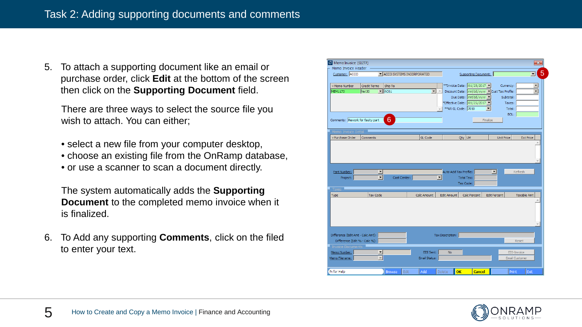5. To attach a supporting document like an email or purchase order, click **Edit** at the bottom of the screen then click on the **Supporting Document** field.

There are three ways to select the source file you wish to attach. You can either;

- select a new file from your computer desktop,
- choose an existing file from the OnRamp database,
- or use a scanner to scan a document directly.

The system automatically adds the **Supporting Document** to the completed memo invoice when it is finalized.

6. To Add any supporting **Comments**, click on the filed to enter your text.



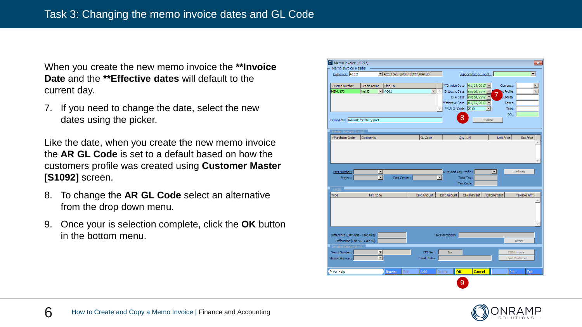When you create the new memo invoice the **\*\*Invoice Date** and the **\*\*Effective dates** will default to the current day.

7. If you need to change the date, select the new dates using the picker.

Like the date, when you create the new memo invoice the **AR GL Code** is set to a default based on how the customers profile was created using **Customer Master [S1092]** screen.

- 8. To change the **AR GL Code** select an alternative from the drop down menu.
- 9. Once your is selection complete, click the **OK** button in the bottom menu.



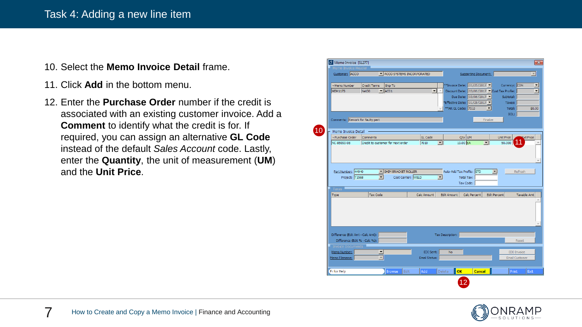#### Task 4: Adding a new line item

- 10. Select the **Memo Invoice Detail** frame.
- 11. Click **Add** in the bottom menu.
- 12. Enter the **Purchase Order** number if the credit is associated with an existing customer invoice. Add a **Comment** to identify what the credit is for. If required, you can assign an alternative **GL Code**  instead of the default *Sales Account* code. Lastly, enter the **Quantity**, the unit of measurement (**UM**) and the **Unit Price**.

| Customer: ACCO                           |                      | ACCO SYSTEMS INCORPORATED         |                |                          |                           | Supporting Document:                        |                      |                     |                       |
|------------------------------------------|----------------------|-----------------------------------|----------------|--------------------------|---------------------------|---------------------------------------------|----------------------|---------------------|-----------------------|
|                                          |                      |                                   |                |                          |                           |                                             |                      |                     |                       |
| -Memo Number                             | <b>Credit Terms</b>  | Ship To                           |                |                          |                           | **Invoice Date: 01/25/2017                  |                      | Currency: CDN       |                       |
| <b>MEM1173</b>                           | Net30                | $\overline{\phantom{a}}$ AC01     |                | $\vert \mathbf{v} \vert$ |                           | Discount Date: 03/06/2017 Cust Tax Profile: |                      |                     |                       |
|                                          |                      |                                   |                |                          |                           | Due Date: 03/06/2017 ▼                      |                      | Subtotal:           |                       |
|                                          |                      |                                   |                |                          |                           | *Effective Date: 01/25/2017 \               |                      | Taxes:              |                       |
|                                          |                      |                                   |                |                          | ** AR GL Code: 7010       |                                             | $\blacktriangledown$ | Total:              |                       |
|                                          |                      |                                   |                |                          |                           |                                             |                      | BOL:                |                       |
| Comments: Rework for faulty part         |                      |                                   |                |                          |                           |                                             | Finalize             |                     |                       |
| Memo Invoice Detail                      |                      |                                   |                |                          |                           |                                             |                      |                     |                       |
| - Purchase Order                         | Comments             |                                   | <b>GL Code</b> |                          |                           | Qty UM                                      |                      | <b>Unit Price</b>   | ext Price             |
| NC-85090-08                              |                      | Credit to customer for next order | 7010           | $\blacktriangledown$     |                           | 10.00 EA                                    | ▼                    | 50.000              |                       |
|                                          |                      |                                   |                |                          |                           |                                             |                      |                     |                       |
|                                          |                      |                                   |                |                          |                           |                                             |                      |                     |                       |
|                                          |                      |                                   |                |                          |                           |                                             |                      |                     |                       |
|                                          |                      |                                   |                |                          |                           |                                             |                      |                     |                       |
|                                          |                      |                                   |                |                          |                           |                                             |                      |                     |                       |
| Part Number: 44940                       |                      | ▼ SHIM BRACKET ROLLER             |                |                          | Auto-Add Tax Profile: STD |                                             | $\blacktriangledown$ |                     | Refresh               |
| Project: T1568                           | $\blacktriangledown$ | Cost Center: WELD                 |                | $\vert \cdot \vert$      |                           | Total Tax:                                  |                      |                     |                       |
|                                          |                      |                                   |                |                          |                           | Tax Code:                                   |                      |                     |                       |
| <b>Taxes</b>                             |                      |                                   |                |                          |                           |                                             |                      |                     |                       |
| Type                                     | <b>Tax Code</b>      |                                   | Calc Amount    |                          | <b>Edit Amount</b>        | Calc Percent                                |                      | <b>Edit Percent</b> | <b>Taxable Amt</b>    |
|                                          |                      |                                   |                |                          |                           |                                             |                      |                     |                       |
|                                          |                      |                                   |                |                          |                           |                                             |                      |                     |                       |
|                                          |                      |                                   |                |                          |                           |                                             |                      |                     |                       |
|                                          |                      |                                   |                |                          |                           |                                             |                      |                     |                       |
|                                          |                      |                                   |                |                          |                           |                                             |                      |                     |                       |
|                                          |                      |                                   |                |                          |                           |                                             |                      |                     |                       |
| Difference (Edit Amt - Calc Amt):        |                      |                                   |                |                          | Tax Description:          |                                             |                      |                     | Reset                 |
| Difference (Edit % - Calc %):            |                      |                                   |                |                          |                           |                                             |                      |                     |                       |
| <b>Invoice Documents</b><br>Memo Number: |                      |                                   | EDI Sent:      |                          | No                        |                                             |                      |                     | EDI-Invoice           |
| Memo Filename:                           |                      |                                   | Email Status:  |                          |                           |                                             |                      |                     |                       |
|                                          |                      |                                   |                |                          |                           |                                             |                      |                     | <b>Email Customer</b> |

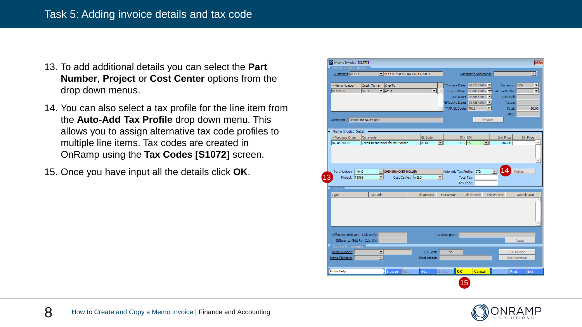- 13. To add additional details you can select the **Part Number**, **Project** or **Cost Center** options from the drop down menus.
- 14. You can also select a tax profile for the line item from the **Auto-Add Tax Profile** drop down menu. This allows you to assign alternative tax code profiles to multiple line items. Tax codes are created in OnRamp using the **Tax Codes [S1072]** screen.
- 15. Once you have input all the details click **OK**.

| Memo Invoice Header                     |                      |                                   |               |                      |                                               |                      |                          |                                      |                          |
|-----------------------------------------|----------------------|-----------------------------------|---------------|----------------------|-----------------------------------------------|----------------------|--------------------------|--------------------------------------|--------------------------|
| Customer: ACCO                          |                      | INCO SYSTEMS INCORPORATED         |               |                      |                                               | Supporting Document: |                          |                                      | $\vert \nabla \vert$     |
|                                         |                      |                                   |               |                      |                                               |                      |                          |                                      |                          |
| -Memo Number                            | <b>Credit Terms</b>  | Ship To                           |               |                      | **Invoice Date: 01/25/2017 -                  |                      |                          | Currency: CDN                        | $\overline{\phantom{a}}$ |
| <b>MEM1173</b>                          | Net30                | $\blacksquare$   $AC01$           |               | ▼∥∸                  | Discount Date: 03/06/2017   Cust Tax Profile: |                      |                          |                                      | $\blacktriangledown$     |
|                                         |                      |                                   |               |                      |                                               | Due Date: 03/06/2017 |                          | Subtotal:                            |                          |
|                                         |                      |                                   |               |                      | "Effective Date: 01/25/2017 ▼                 |                      |                          | Taxes:                               |                          |
|                                         |                      |                                   |               |                      | ** AR GL Code: 7010                           |                      | $\overline{\phantom{a}}$ | Total:                               | \$0.00                   |
|                                         |                      |                                   |               |                      |                                               |                      |                          | BOL:                                 |                          |
| Comments: Rework for faulty part        |                      |                                   |               |                      |                                               |                      | Finalize                 |                                      |                          |
|                                         |                      |                                   |               |                      |                                               |                      |                          |                                      |                          |
| Memo Invoice Detail<br>- Purchase Order | Comments             |                                   | GL Code       |                      | Qty UM                                        |                      | <b>Unit Price</b>        |                                      | <b>Ext Price</b>         |
| NC-85090-08                             |                      | Credit to customer for next order | 7010          | $\blacktriangledown$ | 10.00 EA                                      | $\blacktriangledown$ | 50.000                   |                                      |                          |
|                                         |                      |                                   |               |                      |                                               |                      |                          |                                      |                          |
|                                         |                      |                                   |               |                      |                                               |                      |                          |                                      |                          |
|                                         |                      |                                   |               |                      |                                               |                      |                          |                                      |                          |
|                                         |                      |                                   |               |                      |                                               |                      |                          |                                      |                          |
|                                         |                      |                                   |               |                      |                                               |                      |                          |                                      |                          |
|                                         |                      |                                   |               |                      |                                               |                      |                          |                                      |                          |
| Part Number: 44940                      |                      | IN SHIM BRACKET ROLLER            |               |                      | Auto-Add Tax Profile: STD                     |                      | $\blacktriangledown$     | Refresh                              |                          |
| Project: T1568                          | $\blacktriangledown$ | Cost Center: WELD                 |               | $\vert \cdot \vert$  | Total Tax:<br>Tax Code:                       |                      |                          |                                      |                          |
|                                         |                      |                                   |               |                      |                                               |                      |                          |                                      |                          |
| <b>Taxes</b>                            |                      |                                   |               |                      |                                               |                      |                          |                                      |                          |
| Type                                    | <b>Tax Code</b>      |                                   | Calc Amount   |                      | <b>Edit Amount</b>                            | Calc Percent         | <b>Edit Percent</b>      |                                      | <b>Taxable Amt</b>       |
|                                         |                      |                                   |               |                      |                                               |                      |                          |                                      |                          |
|                                         |                      |                                   |               |                      |                                               |                      |                          |                                      |                          |
|                                         |                      |                                   |               |                      |                                               |                      |                          |                                      |                          |
|                                         |                      |                                   |               |                      |                                               |                      |                          |                                      |                          |
|                                         |                      |                                   |               |                      |                                               |                      |                          |                                      |                          |
| Difference (Edit Amt - Calc Amt):       |                      |                                   |               |                      | Tax Description:                              |                      |                          |                                      |                          |
| Difference (Edit % - Calc %):           |                      |                                   |               |                      |                                               |                      |                          | Reset                                |                          |
|                                         |                      |                                   |               |                      |                                               |                      |                          |                                      |                          |
| <b>Invoice Documents</b>                |                      |                                   | EDI Sent:     |                      | <b>No</b>                                     |                      |                          |                                      |                          |
| Memo Number:                            |                      |                                   | Email Status: |                      |                                               |                      |                          | EDI-Invoice<br><b>Email Customer</b> |                          |
| Memo Filename:                          |                      |                                   |               |                      |                                               |                      |                          |                                      |                          |
| Fi for Help                             |                      | <b>Browse</b><br>Edit             | Add           |                      | Delete<br>OK                                  | <b>Cancel</b>        |                          | Print                                | Exit                     |

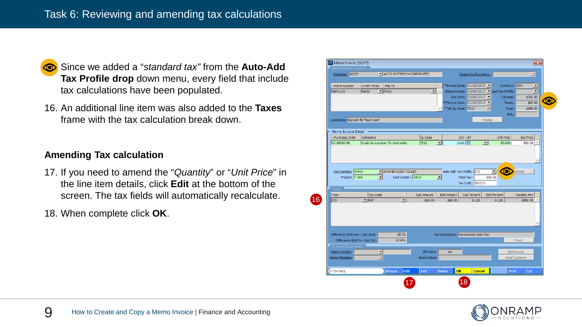

- **<sup>16.</sup>** Since we added a "*standard tax*" from the **Auto-Add Tax Profile drop** down menu, every field that include tax calculations have been populated.
- 16. An additional line item was also added to the **Taxes** frame with the tax calculation break down.

#### **Amending Tax calculation**

- 17. If you need to amend the "*Quantity*" or "*Unit Price*" in the line item details, click **Edit** at the bottom of the screen. The tax fields will automatically recalculate.
- 18. When complete click **OK**.

| Customer: ACCO                    |                          | ACCO SYSTEMS INCORPORATED         |               |                     | Supporting Document:                                                |                      | $\overline{\phantom{a}}$ |
|-----------------------------------|--------------------------|-----------------------------------|---------------|---------------------|---------------------------------------------------------------------|----------------------|--------------------------|
|                                   |                          |                                   |               |                     |                                                                     |                      |                          |
| -Memo Number                      | <b>Credit Terms</b>      | Ship To                           |               |                     | **Invoice Date: 01/25/2017                                          |                      | Currency: CDN            |
| MEM1173                           | Net30                    | $\blacksquare$   $AC01$           |               | $\mathbf{v}$        | Discount Date: $03/06/2017$ $\blacktriangleright$ Cust Tax Profile: |                      |                          |
|                                   |                          |                                   |               |                     | Due Date: 03/06/2017 ▼                                              |                      | Subtotal:<br>\$500.00    |
|                                   |                          |                                   |               |                     | Effective Date: $01/25/2017$                                        |                      | \$65.00<br>Taxes:        |
|                                   |                          |                                   |               |                     | ** AR GL Code: 7010                                                 | $\blacktriangledown$ | Total:<br>\$565.00       |
|                                   |                          |                                   |               |                     |                                                                     |                      | BOL:                     |
| Comments: Rework for faulty part  |                          |                                   |               |                     |                                                                     | Finalize             |                          |
|                                   |                          |                                   |               |                     |                                                                     |                      |                          |
| Memo Invoice Detail               |                          |                                   |               |                     |                                                                     |                      |                          |
| - Purchase Order                  | Comments                 |                                   | GL Code       |                     | Qty UM                                                              | <b>Unit Price</b>    | <b>Ext Price</b>         |
| NC-85090-08                       |                          | Credit to customer for next order | 7010          | $\vert \cdot \vert$ | 15.00                                                               | ▼                    | 50.000<br>500.00         |
|                                   |                          |                                   |               |                     |                                                                     |                      |                          |
|                                   |                          |                                   |               |                     |                                                                     |                      |                          |
|                                   |                          |                                   |               |                     |                                                                     |                      |                          |
|                                   |                          |                                   |               |                     |                                                                     |                      |                          |
|                                   |                          |                                   |               |                     |                                                                     |                      |                          |
| Part Number: 44940                |                          | SHIM BRACKET ROLLER               |               |                     | Auto-Add Tax Profile: STD                                           | $\blacktriangledown$ | efresh<br>ω              |
| Project: T1568                    | $\blacktriangledown$     | Cost Center: WELD                 |               | $\vert \cdot \vert$ | Total Tax:                                                          | \$65.00              |                          |
|                                   |                          |                                   |               |                     | Tax Code: 105175                                                    |                      |                          |
| <b>Taxes</b>                      |                          |                                   |               |                     |                                                                     |                      |                          |
| <b>Type</b>                       | <b>Tax Code</b>          |                                   | Calc Amount   | <b>Edit Amount</b>  | Calc Percent                                                        | <b>Edit Percent</b>  | Taxable Amt              |
| <b>STD</b>                        | $\blacksquare$ HST       | $\blacktriangledown$              | \$65.00       | \$65.00             | 0.130                                                               | 0.130                | \$500.00                 |
|                                   |                          |                                   |               |                     |                                                                     |                      |                          |
|                                   |                          |                                   |               |                     |                                                                     |                      |                          |
|                                   |                          |                                   |               |                     |                                                                     |                      |                          |
|                                   |                          |                                   |               |                     |                                                                     |                      |                          |
|                                   |                          |                                   |               |                     |                                                                     |                      |                          |
|                                   |                          | \$0.00                            |               |                     |                                                                     |                      |                          |
| Difference (Edit Amt - Calc Amt): |                          | 0.00%                             |               |                     | Tax Description: Harmonized Sales Tax                               |                      | Reset                    |
| Difference (Edit % - Calc %):     |                          |                                   |               |                     |                                                                     |                      |                          |
| <b>Invoice Documents</b>          |                          |                                   |               |                     |                                                                     |                      |                          |
| Memo Number:                      | ▼                        |                                   | EDI Sent:     | <b>No</b>           |                                                                     |                      | <b>EDI-Invoice</b>       |
| Memo Filename:                    | $\overline{\phantom{a}}$ |                                   | Email Status: |                     |                                                                     |                      | <b>Email Customer</b>    |
| Fi for Help                       |                          | Edit<br><b>Browse</b>             | Add           | Delete              | OK<br><b>Cancel</b>                                                 |                      | Print<br>Exit            |

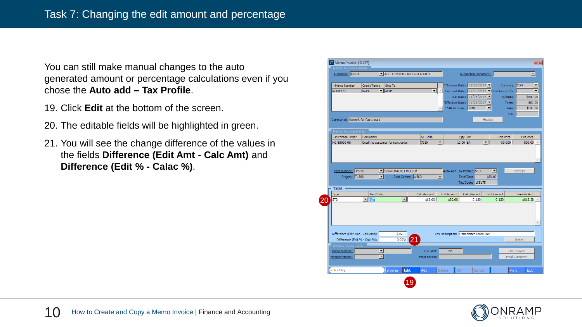You can still make manual changes to the auto generated amount or percentage calculations even if you chose the **Auto add – Tax Profile**.

- 19. Click **Edit** at the bottom of the screen.
- 20. The editable fields will be highlighted in green.
- 21. You will see the change difference of the values in the fields **Difference (Edit Amt - Calc Amt)** and **Difference (Edit % - Calac %)**.



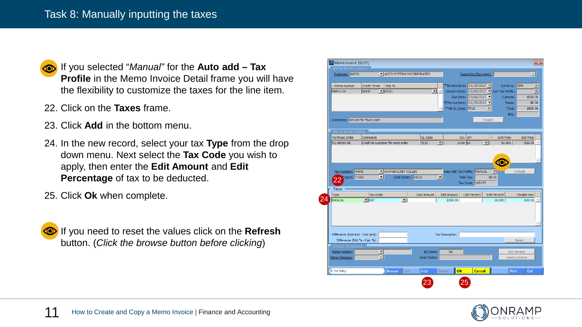

21. If you selected "*Manual"* for the **Auto add – Tax Profile** in the Memo Invoice Detail frame you will have the flexibility to customize the taxes for the line item.

- 22. Click on the **Taxes** frame.
- 23. Click **Add** in the bottom menu.
- 24. In the new record, select your tax **Type** from the drop down menu. Next select the **Tax Code** you wish to apply, then enter the **Edit Amount** and **Edit Percentage** of tax to be deducted.
- 25. Click **Ok** when complete.



**<sup>46</sup>.** If you need to reset the values click on the **Refresh** button. (*Click the browse button before clicking*)



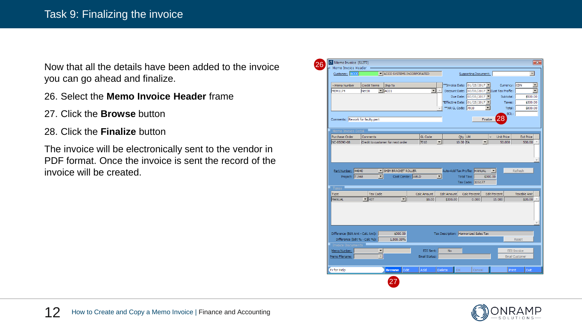Now that all the details have been added to the invoice you can go ahead and finalize.

- 26. Select the **Memo Invoice Header** frame
- 27. Click the **Browse** button
- 28. Click the **Finalize** button

The invoice will be electronically sent to the vendor in PDF format. Once the invoice is sent the record of the invoice will be created.

| Memo Invoice Header                                                |                      |                                          |                            |                          |                                            |                                             |                                     |                                             |
|--------------------------------------------------------------------|----------------------|------------------------------------------|----------------------------|--------------------------|--------------------------------------------|---------------------------------------------|-------------------------------------|---------------------------------------------|
| Customer: ACCO                                                     |                      | IN ACCO SYSTEMS INCORPORATED             |                            |                          |                                            | Supporting Document:                        |                                     |                                             |
| -Memo Number                                                       | <b>Credit Terms</b>  | Ship To                                  |                            |                          | **Invoice Date: 01/25/2017                 |                                             |                                     | Currency: CDN                               |
| <b>MEM1174</b>                                                     | Net30                | $\blacksquare$ $\blacksquare$            | $\blacktriangledown$       |                          |                                            | Discount Date: 03/06/2017 Cust Tax Profile: |                                     |                                             |
|                                                                    |                      |                                          |                            |                          |                                            | Due Date: 03/06/2017 ▼                      |                                     | Subtotal:<br>\$500.00                       |
|                                                                    |                      |                                          |                            |                          | *Effective Date: 01/25/2017                |                                             |                                     | Taxes:<br>\$300.00                          |
|                                                                    |                      |                                          |                            |                          | ** AR GL Code: 7010                        |                                             | $\blacktriangledown$                | Total:<br>\$800.00                          |
|                                                                    |                      |                                          |                            |                          |                                            |                                             |                                     | BOL:                                        |
| Comments: Rework for faulty part                                   |                      |                                          |                            |                          |                                            |                                             | 28<br>Finalize                      |                                             |
|                                                                    |                      |                                          |                            |                          |                                            |                                             |                                     |                                             |
| Memo Invoice Detail                                                |                      |                                          |                            |                          |                                            |                                             |                                     |                                             |
| Purchase Order                                                     | Comments             |                                          | GL Code                    |                          | Qty UM                                     |                                             | <b>Unit Price</b><br>÷              | <b>Ext Price</b>                            |
| NC-85090-08                                                        |                      | Credit to customer for next order        | 7010                       | $\blacktriangledown$     | 10.00 EA                                   | $\blacktriangledown$                        | 50,000                              | 500.00                                      |
|                                                                    |                      |                                          |                            |                          |                                            |                                             |                                     |                                             |
| Part Number: 44940<br>Project: T1568                               | $\blacktriangledown$ | SHIM BRACKET ROLLER<br>Cost Center: WELD |                            | $\overline{\phantom{a}}$ | Auto-Add Tax Profile: MANUAL<br>Total Tax: | Tax Code: 105177                            | $\vert \bm{\tau} \vert$<br>\$300.00 | Refresh                                     |
| Taxes                                                              |                      |                                          |                            |                          |                                            |                                             |                                     |                                             |
| Type                                                               | <b>Tax Code</b>      |                                          | Calc Amount                |                          | <b>Edit Amount</b>                         | Calc Percent                                | <b>Edit Percent</b>                 | <b>Taxable Amt</b>                          |
| MANUAL                                                             | $\blacksquare$ HST   | $\blacktriangledown$                     | \$0.00                     |                          | \$300.00                                   | 0.000                                       | 15,000                              | \$20.00                                     |
|                                                                    |                      |                                          |                            |                          |                                            |                                             |                                     |                                             |
| Difference (Edit Amt - Calc Amt):<br>Difference (Edit % - Calc %): |                      | \$300.00<br>1,500.00%                    |                            |                          | Tax Description: Harmonized Sales Tax      |                                             |                                     | Reset                                       |
| <b>Invoice Documents</b>                                           |                      |                                          |                            |                          |                                            |                                             |                                     |                                             |
| Memo Number:<br>Memo Filename:                                     |                      |                                          | EDI Sent:<br>Email Status: |                          | <b>No</b>                                  |                                             |                                     | <b>EDI-Invoice</b><br><b>Email Customer</b> |

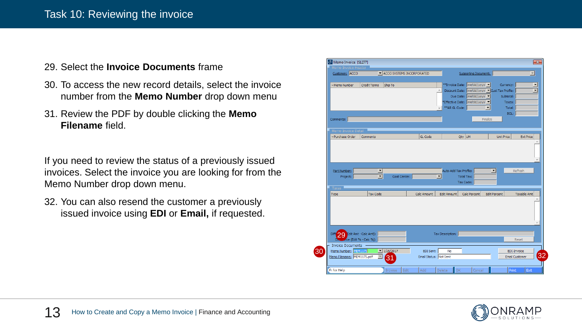#### Task 10: Reviewing the invoice

#### 29. Select the **Invoice Documents** frame

- 30. To access the new record details, select the invoice number from the **Memo Number** drop down menu
- 31. Review the PDF by double clicking the **Memo Filename** field.

If you need to review the status of a previously issued invoices. Select the invoice you are looking for from the Memo Number drop down menu.

32. You can also resend the customer a previously issued invoice using **EDI** or **Email,** if requested.



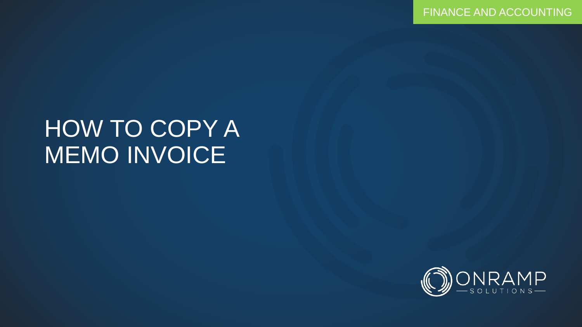## HOW TO COPY A MEMO INVOICE

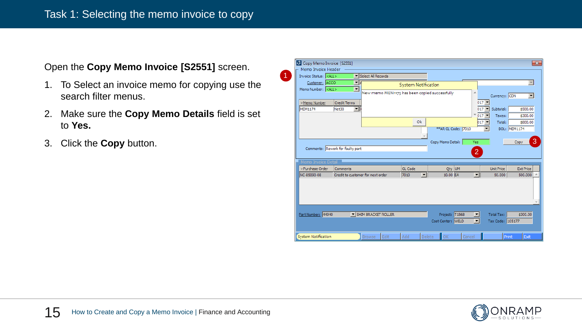#### Open the **Copy Memo Invoice [S2551]** screen.

1. To Select an invoice memo for copying use the search filter menus.

(1)

- 2. Make sure the **Copy Memo Details** field is set to **Yes.**
- 3. Click the **Copy** button.

| Copy Memo Invoice [S2551]                                                      |                                                                                                 |                                               |                                  |                                     |                                                                |                                       | $\mathbf{x}$                                |
|--------------------------------------------------------------------------------|-------------------------------------------------------------------------------------------------|-----------------------------------------------|----------------------------------|-------------------------------------|----------------------------------------------------------------|---------------------------------------|---------------------------------------------|
| Memo Invoice Header<br>Invoice Status: <all></all>                             |                                                                                                 | Select All Records                            |                                  |                                     |                                                                |                                       |                                             |
| Customer: ACCO<br>Memo Number: <all><br/>-Memo Number<br/><b>MEM1174</b></all> | $\overline{\phantom{a}}$<br>$\overline{\phantom{a}}$<br><b>Credit Terms</b><br>$\vert$<br>Net30 | New memo MEM1175 has been copied successfully | <b>System Notification</b>       |                                     | A.<br>$017$ $\blacktriangledown$<br>$017$ $\blacktriangledown$ | Currency: CDN<br>Subtotal:            | $\blacktriangledown$<br>\$500.00            |
|                                                                                |                                                                                                 |                                               | Ok                               | ** AR GL Code: 7010                 | $017$ $\bullet$<br>$017$ $\blacktriangleright$                 | Taxes:<br>Total:                      | \$300.00<br>\$800.00<br><b>BOL: MEM1174</b> |
| Memo Invoice Detail                                                            | Comments: Rework for faulty part                                                                |                                               |                                  | Copy Memo Detail:                   | Yes<br>$\overline{2}$                                          |                                       | 3<br>Copy                                   |
| -Purchase Order                                                                | Comments                                                                                        |                                               | GL Code                          | Qty UM                              |                                                                | <b>Unit Price</b>                     | <b>Ext Price</b>                            |
| INC-85090-08                                                                   | Credit to customer for next order                                                               |                                               | $\overline{\phantom{a}}$<br>7010 | 10.00 EA                            | $\overline{\phantom{a}}$                                       | 50,000                                | 500,000                                     |
|                                                                                |                                                                                                 |                                               |                                  |                                     |                                                                |                                       |                                             |
| Part Number: 44940                                                             |                                                                                                 | SHIM BRACKET ROLLER                           |                                  | Project: T1568<br>Cost Center: WELD |                                                                | <b>Total Tax:</b><br>Tax Code: 105177 | \$300.00                                    |
| System Notification                                                            |                                                                                                 | Edit<br><b>Browse</b>                         | Add                              | ОK<br>Delete                        | Cancel                                                         | Print                                 | Exit                                        |